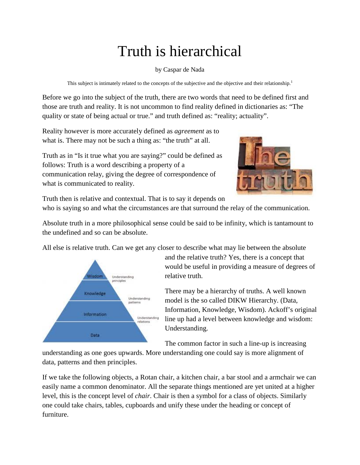## Truth is hierarchical

by Caspar de Nada

This subject is intimately related to the concepts of the subjective and the objective and their relationship.<sup>1</sup>

Before we go into the subject of the truth, there are two words that need to be defined first and those are truth and reality. It is not uncommon to find reality defined in dictionaries as: "The quality or state of being actual or true." and truth defined as: "reality; actuality".

Reality however is more accurately defined as *agreement* as to what is. There may not be such a thing as: "the truth" at all.

Truth as in "Is it true what you are saying?" could be defined as follows: Truth is a word describing a property of a communication relay, giving the degree of correspondence of what is communicated to reality.



Truth then is relative and contextual. That is to say it depends on who is saying so and what the circumstances are that surround the relay of the communication.

Absolute truth in a more philosophical sense could be said to be infinity, which is tantamount to the undefined and so can be absolute.

All else is relative truth. Can we get any closer to describe what may lie between the absolute



and the relative truth? Yes, there is a concept that would be useful in providing a measure of degrees of relative truth.

There may be a hierarchy of truths. A well known model is the so called DIKW Hierarchy. (Data, Information, Knowledge, Wisdom). Ackoff's original line up had a level between knowledge and wisdom: Understanding.

The common factor in such a line-up is increasing

understanding as one goes upwards. More understanding one could say is more alignment of data, patterns and then principles.

If we take the following objects, a Rotan chair, a kitchen chair, a bar stool and a armchair we can easily name a common denominator. All the separate things mentioned are yet united at a higher level, this is the concept level of *chair*. Chair is then a symbol for a class of objects. Similarly one could take chairs, tables, cupboards and unify these under the heading or concept of furniture.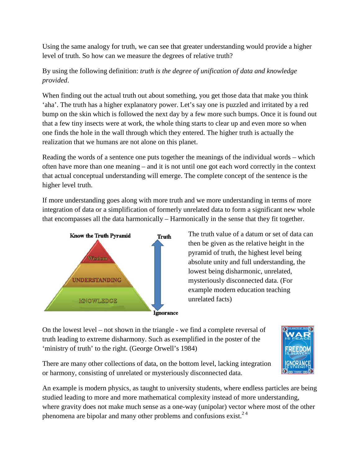Using the same analogy for truth, we can see that greater understanding would provide a higher level of truth. So how can we measure the degrees of relative truth?

## By using the following definition: *truth is the degree of unification of data and knowledge provided*.

When finding out the actual truth out about something, you get those data that make you think 'aha'. The truth has a higher explanatory power. Let's say one is puzzled and irritated by a red bump on the skin which is followed the next day by a few more such bumps. Once it is found out that a few tiny insects were at work, the whole thing starts to clear up and even more so when one finds the hole in the wall through which they entered. The higher truth is actually the realization that we humans are not alone on this planet.

Reading the words of a sentence one puts together the meanings of the individual words – which often have more than one meaning – and it is not until one got each word correctly in the context that actual conceptual understanding will emerge. The complete concept of the sentence is the higher level truth.

If more understanding goes along with more truth and we more understanding in terms of more integration of data or a simplification of formerly unrelated data to form a significant new whole that encompasses all the data harmonically – Harmonically in the sense that they fit together.



The truth value of a datum or set of data can then be given as the relative height in the pyramid of truth, the highest level being absolute unity and full understanding, the lowest being disharmonic, unrelated, mysteriously disconnected data. (For example modern education teaching unrelated facts)

On the lowest level – not shown in the triangle - we find a complete reversal of truth leading to extreme disharmony. Such as exemplified in the poster of the 'ministry of truth' to the right. (George Orwell's 1984)



There are many other collections of data, on the bottom level, lacking integration or harmony, consisting of unrelated or mysteriously disconnected data.

An example is modern physics, as taught to university students, where endless particles are being studied leading to more and more mathematical complexity instead of more understanding, where gravity does not make much sense as a one-way (unipolar) vector where most of the other phenomena are bipolar and many other problems and confusions exist.<sup>24</sup>